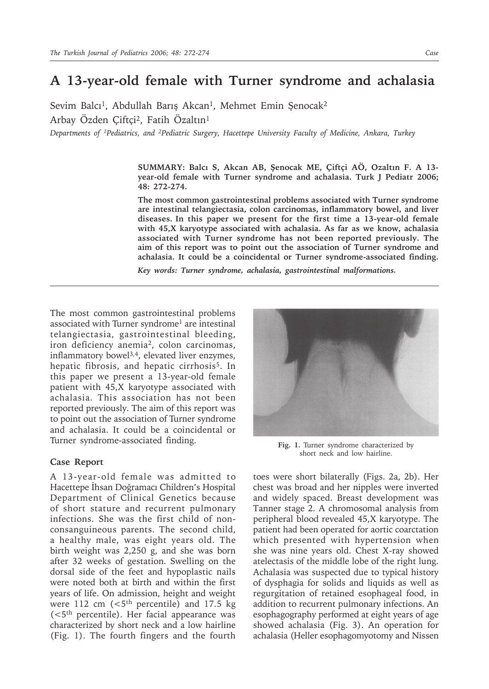## **A 13-year-old female with Turner syndrome and achalasia**

Sevim Balcı<sup>1</sup>, Abdullah Barış Akcan<sup>1</sup>, Mehmet Emin Şenocak<sup>2</sup> Arbay Özden Çiftçi2, Fatih Özaltın1

*Departments of 1Pediatrics, and 2Pediatric Surgery, Hacettepe University Faculty of Medicine, Ankara, Turkey*

**SUMMARY: Balcı S, Akcan AB, Şenocak ME, Çiftçi AÖ, Ozaltın F. A 13 year-old female with Turner syndrome and achalasia. Turk J Pediatr 2006; 48: 272-274.**

**The most common gastrointestinal problems associated with Turner syndrome are intestinal telangiectasia, colon carcinomas, inflammatory bowel, and liver diseases. In this paper we present for the first time a 13-year-old female with 45,X karyotype associated with achalasia. As far as we know, achalasia associated with Turner syndrome has not been reported previously. The aim of this report was to point out the association of Turner syndrome and achalasia. It could be a coincidental or Turner syndrome-associated finding.**

*Key words: Turner syndrome, achalasia, gastrointestinal malformations.*

The most common gastrointestinal problems associated with Turner syndrome<sup>1</sup> are intestinal telangiectasia, gastrointestinal bleeding, iron deficiency anemia<sup>2</sup>, colon carcinomas, inflammatory bowel<sup>3,4</sup>, elevated liver enzymes, hepatic fibrosis, and hepatic cirrhosis<sup>5</sup>. In this paper we present a 13-year-old female patient with 45,X karyotype associated with achalasia. This association has not been reported previously. The aim of this report was to point out the association of Turner syndrome and achalasia. It could be a coincidental or Turner syndrome-associated finding.

## **Case Report**

A 13-year-old female was admitted to Hacettepe İhsan Doğramacı Children's Hospital Department of Clinical Genetics because of short stature and recurrent pulmonary infections. She was the first child of nonconsanguineous parents. The second child, a healthy male, was eight years old. The birth weight was 2,250 g, and she was born after 32 weeks of gestation. Swelling on the dorsal side of the feet and hypoplastic nails were noted both at birth and within the first years of life. On admission, height and weight were  $112$  cm (<5<sup>th</sup> percentile) and 17.5 kg (<5th percentile). Her facial appearance was characterized by short neck and a low hairline (Fig. 1). The fourth fingers and the fourth



**Fig. 1.** Turner syndrome characterized by short neck and low hairline.

toes were short bilaterally (Figs. 2a, 2b). Her chest was broad and her nipples were inverted and widely spaced. Breast development was Tanner stage 2. A chromosomal analysis from peripheral blood revealed 45,X karyotype. The patient had been operated for aortic coarctation which presented with hypertension when she was nine years old. Chest X-ray showed atelectasis of the middle lobe of the right lung. Achalasia was suspected due to typical history of dysphagia for solids and liquids as well as regurgitation of retained esophageal food, in addition to recurrent pulmonary infections. An esophagography performed at eight years of age showed achalasia (Fig. 3). An operation for achalasia (Heller esophagomyotomy and Nissen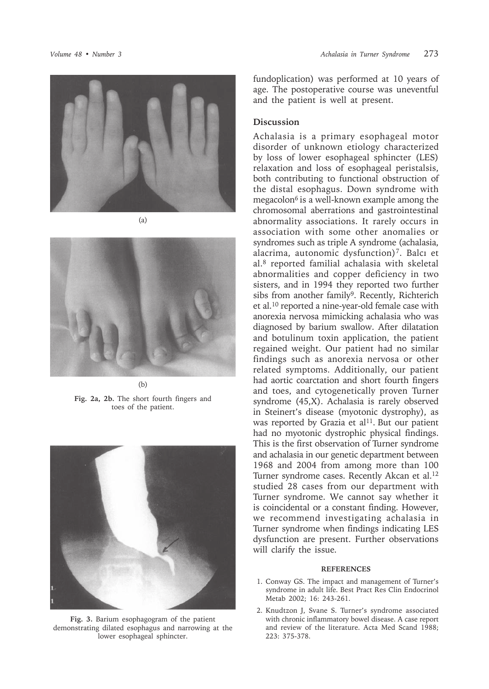





**Fig. 2a, 2b.** The short fourth fingers and toes of the patient.



**Fig. 3.** Barium esophagogram of the patient demonstrating dilated esophagus and narrowing at the lower esophageal sphincter.

fundoplication) was performed at 10 years of age. The postoperative course was uneventful and the patient is well at present.

## **Discussion**

Achalasia is a primary esophageal motor disorder of unknown etiology characterized by loss of lower esophageal sphincter (LES) relaxation and loss of esophageal peristalsis, both contributing to functional obstruction of the distal esophagus. Down syndrome with megacolon<sup>6</sup> is a well-known example among the chromosomal aberrations and gastrointestinal abnormality associations. It rarely occurs in association with some other anomalies or syndromes such as triple A syndrome (achalasia, alacrima, autonomic dysfunction)7. Balcı et al.8 reported familial achalasia with skeletal abnormalities and copper deficiency in two sisters, and in 1994 they reported two further sibs from another family<sup>9</sup>. Recently, Richterich et al.10 reported a nine-year-old female case with anorexia nervosa mimicking achalasia who was diagnosed by barium swallow. After dilatation and botulinum toxin application, the patient regained weight. Our patient had no similar findings such as anorexia nervosa or other related symptoms. Additionally, our patient had aortic coarctation and short fourth fingers and toes, and cytogenetically proven Turner syndrome (45,X). Achalasia is rarely observed in Steinert's disease (myotonic dystrophy), as was reported by Grazia et al<sup>11</sup>. But our patient had no myotonic dystrophic physical findings. This is the first observation of Turner syndrome and achalasia in our genetic department between 1968 and 2004 from among more than 100 Turner syndrome cases. Recently Akcan et al.12 studied 28 cases from our department with Turner syndrome. We cannot say whether it is coincidental or a constant finding. However, we recommend investigating achalasia in Turner syndrome when findings indicating LES dysfunction are present. Further observations will clarify the issue.

## **REFERENCES**

- 1. Conway GS. The impact and management of Turner's syndrome in adult life. Best Pract Res Clin Endocrinol Metab 2002; 16: 243-261.
- 2. Knudtzon J, Svane S. Turner's syndrome associated with chronic inflammatory bowel disease. A case report and review of the literature. Acta Med Scand 1988; 223: 375-378.